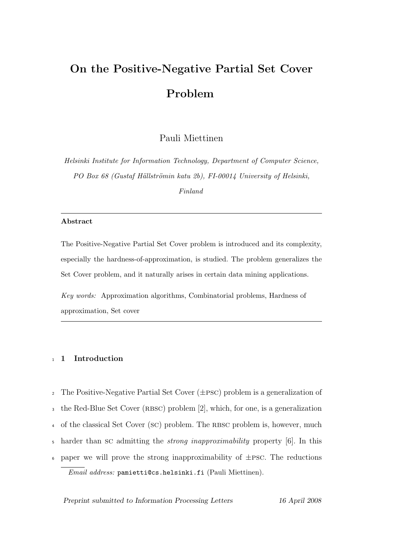# On the Positive-Negative Partial Set Cover Problem

Pauli Miettinen

Helsinki Institute for Information Technology, Department of Computer Science, PO Box 68 (Gustaf Hällströmin katu 2b), FI-00014 University of Helsinki,

Finland

## Abstract

The Positive-Negative Partial Set Cover problem is introduced and its complexity, especially the hardness-of-approximation, is studied. The problem generalizes the Set Cover problem, and it naturally arises in certain data mining applications.

Key words: Approximation algorithms, Combinatorial problems, Hardness of approximation, Set cover

## <sup>1</sup> 1 Introduction

<sup>2</sup> The Positive-Negative Partial Set Cover  $(\pm \text{PSC})$  problem is a generalization of <sup>3</sup> the Red-Blue Set Cover (RBSC) problem [2], which, for one, is a generalization <sup>4</sup> of the classical Set Cover (sc) problem. The RBSC problem is, however, much <sup>5</sup> harder than sc admitting the strong inapproximability property [6]. In this  $\epsilon$  paper we will prove the strong inapproximability of  $\pm$ PSC. The reductions Email address: pamietti@cs.helsinki.fi (Pauli Miettinen).

Preprint submitted to Information Processing Letters 16 April 2008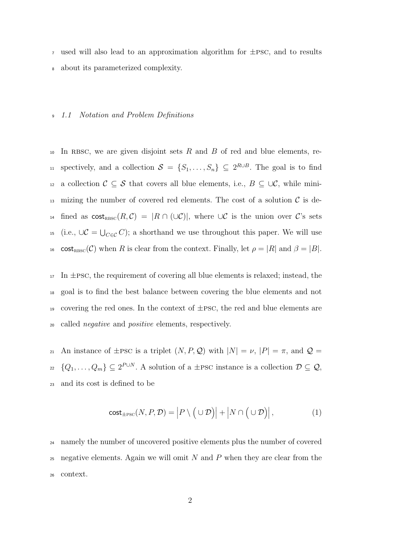$\tau$  used will also lead to an approximation algorithm for  $\pm$ PSC, and to results <sup>8</sup> about its parameterized complexity.

#### <sup>9</sup> 1.1 Notation and Problem Definitions

 $10$  In RBSC, we are given disjoint sets R and B of red and blue elements, re-11 spectively, and a collection  $S = \{S_1, \ldots, S_n\} \subseteq 2^{R \cup B}$ . The goal is to find 12 a collection  $\mathcal{C} \subseteq \mathcal{S}$  that covers all blue elements, i.e.,  $B \subseteq \cup \mathcal{C}$ , while mini-13 mizing the number of covered red elements. The cost of a solution  $\mathcal C$  is de-14 fined as  $\text{cost}_{\text{RBSC}}(R, \mathcal{C}) = |R \cap (\cup \mathcal{C})|$ , where  $\cup \mathcal{C}$  is the union over C's sets <sup>15</sup> (i.e.,  $\cup \mathcal{C} = \bigcup_{C \in \mathcal{C}} C$ ); a shorthand we use throughout this paper. We will use 16 cost<sub>RBSC</sub>(C) when R is clear from the context. Finally, let  $\rho = |R|$  and  $\beta = |B|$ .

 In  $\pm$ PSC, the requirement of covering all blue elements is relaxed; instead, the goal is to find the best balance between covering the blue elements and not 19 covering the red ones. In the context of  $\pm$ PSC, the red and blue elements are called negative and positive elements, respectively.

21 An instance of  $\pm$ PSC is a triplet  $(N, P, Q)$  with  $|N| = \nu$ ,  $|P| = \pi$ , and  $Q =$  $_{22}$  { $Q_1, \ldots, Q_m$ }  $\subseteq 2^{P \cup N}$ . A solution of a ±PSC instance is a collection  $\mathcal{D} \subseteq \mathcal{Q}$ , <sup>23</sup> and its cost is defined to be

$$
\mathsf{cost}_{\pm \mathrm{PSC}}(N, P, \mathcal{D}) = \left| P \setminus (\cup \mathcal{D}) \right| + \left| N \cap (\cup \mathcal{D}) \right|,\tag{1}
$$

<sup>24</sup> namely the number of uncovered positive elements plus the number of covered  $25$  negative elements. Again we will omit N and P when they are clear from the <sup>26</sup> context.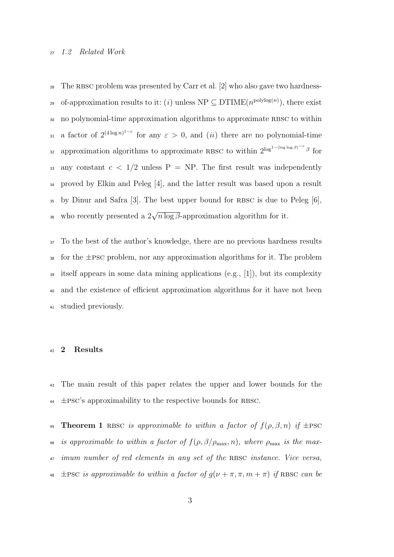#### <sup>27</sup> 1.2 Related Work

 $28$  The RBSC problem was presented by Carr et al. [2] who also gave two hardness-29 of-approximation results to it: (*i*) unless  $NP \subseteq DTIME(n^{polylog(n)})$ , there exist 30 no polynomial-time approximation algorithms to approximate RBSC to within 31 a factor of  $2^{(4\log n)^{1-\varepsilon}}$  for any  $\varepsilon > 0$ , and  $(ii)$  there are no polynomial-time approximation algorithms to approximate RBSC to within  $2^{\log^{1-(\log \log \beta)}{c}}$  for 33 any constant  $c < 1/2$  unless P = NP. The first result was independently <sup>34</sup> proved by Elkin and Peleg [4], and the latter result was based upon a result  $\frac{35}{25}$  by Dinur and Safra [3]. The best upper bound for RBSC is due to Peleg [6], <sup>36</sup> who recently presented a  $2\sqrt{n \log \beta}$ -approximation algorithm for it.

 To the best of the author's knowledge, there are no previous hardness results 38 for the  $\pm$ PSC problem, nor any approximation algorithms for it. The problem itself appears in some data mining applications (e.g., [1]), but its complexity and the existence of efficient approximation algorithms for it have not been studied previously.

## <sup>42</sup> 2 Results

<sup>43</sup> The main result of this paper relates the upper and lower bounds for the  $\pm$ PSC's approximability to the respective bounds for RBSC.

45 **Theorem 1** RBSC is approximable to within a factor of  $f(\rho, \beta, n)$  if  $\pm$ PSC 46 is approximable to within a factor of  $f(\rho, \beta/\rho_{\text{max}}, n)$ , where  $\rho_{\text{max}}$  is the max- $\frac{47}{47}$  imum number of red elements in any set of the RBSC instance. Vice versa, 48  $\pm$ PSC is approximable to within a factor of  $g(\nu + \pi, \pi, m + \pi)$  if RBSC can be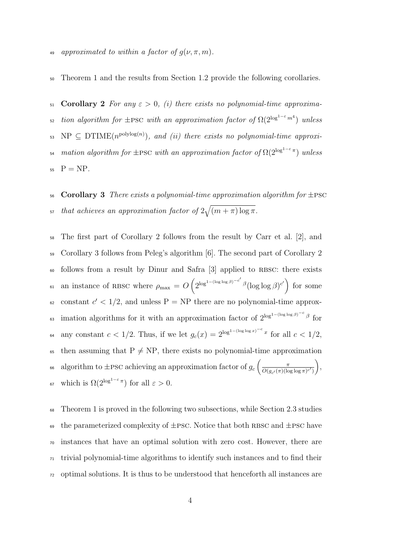<sup>50</sup> Theorem 1 and the results from Section 1.2 provide the following corollaries.

51 **Corollary 2** For any  $\varepsilon > 0$ , (i) there exists no polynomial-time approxima- $_{52}$  tion algorithm for  $\pm$ PSC with an approximation factor of  $\Omega(2^{\log^{1-\varepsilon}m^{4}})$  unless  $\mathcal{L}_{\text{53}}$  NP  $\subseteq$  DTIME $(n^{\text{polylog}(n)})$ , and (ii) there exists no polynomial-time approxi-<sup>54</sup> mation algorithm for  $\pm$ PSC with an approximation factor of  $\Omega(2^{\log^{1-\varepsilon}\pi})$  unless  $_{55}$   $P = NP$ .

56 Corollary 3 There exists a polynomial-time approximation algorithm for  $\pm$ PSC <sup>57</sup> that achieves an approximation factor of  $2\sqrt{(m+\pi)\log\pi}$ .

<sup>58</sup> The first part of Corollary 2 follows from the result by Carr et al. [2], and <sup>59</sup> Corollary 3 follows from Peleg's algorithm [6]. The second part of Corollary 2 <sup>60</sup> follows from a result by Dinur and Safra [3] applied to RBSC: there exists 61 an instance of RBSC where  $\rho_{\text{max}} = O\left(2^{\log^{1-(\log\log\beta)}-c'}\beta(\log\log\beta)^{c'}\right)$  for some  $\epsilon_0$  constant  $c' < 1/2$ , and unless P = NP there are no polynomial-time approx-63 imation algorithms for it with an approximation factor of  $2^{\log^{1-(\log\log\beta)}-c}$  for 64 any constant  $c < 1/2$ . Thus, if we let  $g_c(x) = 2^{\log^{1-(\log \log x)^{-c}} x}$  for all  $c < 1/2$ , <sup>65</sup> then assuming that  $P \neq NP$ , there exists no polynomial-time approximation algorithm to  $\pm$ PSC achieving an approximation factor of  $g_c \left( \frac{\pi}{Q(g_c/\pi)(\ln \theta)} \right)$  $\overline{O(g_{c'}(\pi)(\log \log \pi)^{c'}})$ 66 algorithm to  $\pm$ PSC achieving an approximation factor of  $g_c\left(\frac{\pi}{O(c_0\left(\pi\right)\left(\log\left(\pi/2\right)\right)},\right)$ <sup>67</sup> which is  $Ω(2^{\log^{1-\varepsilon}π})$  for all  $\varepsilon > 0$ .

 Theorem 1 is proved in the following two subsections, while Section 2.3 studies 69 the parameterized complexity of  $\pm$ PSC. Notice that both RBSC and  $\pm$ PSC have instances that have an optimal solution with zero cost. However, there are trivial polynomial-time algorithms to identify such instances and to find their optimal solutions. It is thus to be understood that henceforth all instances are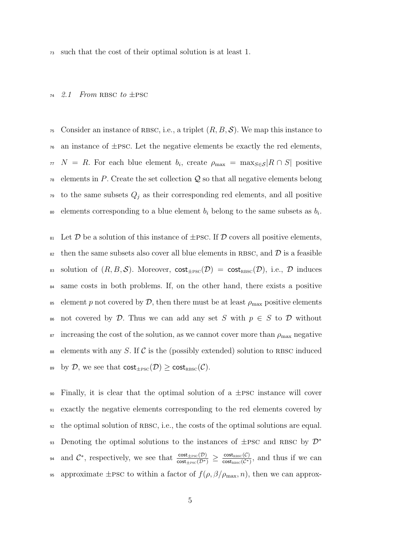<sup>73</sup> such that the cost of their optimal solution is at least 1.

#### 74 2.1 From RBSC to  $\pm$ PSC

<sup>75</sup> Consider an instance of RBSC, i.e., a triplet  $(R, B, S)$ . We map this instance to  $\tau_6$  an instance of  $\pm$ PSC. Let the negative elements be exactly the red elements,  $\pi$   $N = R$ . For each blue element  $b_i$ , create  $\rho_{\text{max}} = \max_{S \in \mathcal{S}} |R \cap S|$  positive  $78$  elements in P. Create the set collection Q so that all negative elements belong <sup>79</sup> to the same subsets  $Q_j$  as their corresponding red elements, and all positive so elements corresponding to a blue element  $b_i$  belong to the same subsets as  $b_i$ .

81 Let  $\mathcal D$  be a solution of this instance of  $\pm$ PSC. If  $\mathcal D$  covers all positive elements,  $\frac{1}{82}$  then the same subsets also cover all blue elements in RBSC, and  $\mathcal{D}$  is a feasible 83 solution of  $(R, B, S)$ . Moreover,  $cost_{\text{th}SC}(\mathcal{D}) = cost_{\text{RBSC}}(\mathcal{D})$ , i.e.,  $\mathcal D$  induces <sup>84</sup> same costs in both problems. If, on the other hand, there exists a positive 85 element p not covered by  $\mathcal{D}$ , then there must be at least  $\rho_{\text{max}}$  positive elements 86 not covered by D. Thus we can add any set S with  $p \in S$  to D without  $\frac{1}{87}$  increasing the cost of the solution, as we cannot cover more than  $\rho_{\text{max}}$  negative <sup>88</sup> elements with any S. If C is the (possibly extended) solution to RBSC induced 89 by D, we see that  $\text{cost}_{\text{th}(\mathcal{D})} \geq \text{cost}_{\text{RBSC}}(\mathcal{C})$ .

 $\gamma$ <sub>90</sub> Finally, it is clear that the optimal solution of a  $\pm$ PSC instance will cover <sup>91</sup> exactly the negative elements corresponding to the red elements covered by <sup>92</sup> the optimal solution of rbsc, i.e., the costs of the optimal solutions are equal. Denoting the optimal solutions to the instances of  $\pm$ PSC and RBSC by  $\mathcal{D}^*$ 93 and  $\mathcal{C}^*$ , respectively, we see that  $\frac{\text{cost}_{\text{tPSC}}(\mathcal{D})}{\text{cost}_{\text{tPSC}}(\mathcal{D}^*)} \geq \frac{\text{cost}_{\text{rBSC}}(\mathcal{C})}{\text{cost}_{\text{rBSC}}(\mathcal{C}^*)}$ <sup>94</sup> and  $\mathcal{C}^*$ , respectively, we see that  $\frac{\text{cost}_{\text{t}}(D)}{\text{cost}_{\text{t}}(D^*)}$  ≥  $\frac{\text{cost}_{\text{nssc}}(C)}{\text{cost}_{\text{nssc}}(C^*)}$ , and thus if we can 95 approximate  $\pm$ PSC to within a factor of  $f(\rho, \beta/\rho_{\text{max}}, n)$ , then we can approx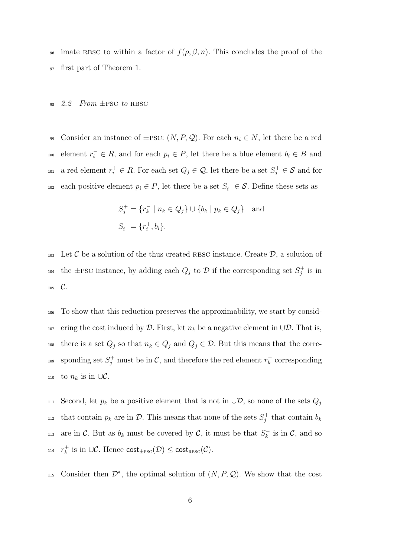<sup>96</sup> imate RBSC to within a factor of  $f(\rho, \beta, n)$ . This concludes the proof of the <sup>97</sup> first part of Theorem 1.

#### 98 2.2 From  $\pm$ PSC to RBSC

99 Consider an instance of  $\pm$ PSC:  $(N, P, Q)$ . For each  $n_i \in N$ , let there be a red <sup>100</sup> element  $r_i^-$  ∈ R, and for each  $p_i$  ∈ P, let there be a blue element  $b_i$  ∈ B and <sup>101</sup> a red element  $r_i^+ \in R$ . For each set  $Q_j \in \mathcal{Q}$ , let there be a set  $S_j^+ \in \mathcal{S}$  and for <sup>102</sup> each positive element  $p_i \in P$ , let there be a set  $S_i^- \in \mathcal{S}$ . Define these sets as

$$
S_j^+ = \{r_k^- \mid n_k \in Q_j\} \cup \{b_k \mid p_k \in Q_j\} \text{ and}
$$
  

$$
S_i^- = \{r_i^+, b_i\}.
$$

103 Let C be a solution of the thus created RBSC instance. Create  $\mathcal{D}$ , a solution of the  $\pm$ PSC instance, by adding each  $Q_j$  to  $\mathcal D$  if the corresponding set  $S_j^+$  is in  $105$   $C.$ 

<sup>106</sup> To show that this reduction preserves the approximability, we start by consid-107 ering the cost induced by  $\mathcal D$ . First, let  $n_k$  be a negative element in  $\cup \mathcal D$ . That is, 108 there is a set  $Q_j$  so that  $n_k \in Q_j$  and  $Q_j \in \mathcal{D}$ . But this means that the corresponding set  $S_j^+$  must be in  $\mathcal{C}$ , and therefore the red element  $r_k^-$ <sup>109</sup> sponding set  $S_j^+$  must be in  $\mathcal{C}$ , and therefore the red element  $r_k^-$  corresponding 110 to  $n_k$  is in ∪ $\mathcal{C}$ .

Second, let  $p_k$  be a positive element that is not in  $\cup \mathcal{D}$ , so none of the sets  $Q_j$ 111 <sup>112</sup> that contain  $p_k$  are in  $\mathcal{D}$ . This means that none of the sets  $S_j^+$  that contain  $b_k$ are in C. But as  $b_k$  must be covered by C, it must be that  $S_k^-$ 113 are in C. But as  $b_k$  must be covered by C, it must be that  $S_k^-$  is in C, and so 114  $r_k^+$  is in ∪C. Hence  $\mathsf{cost}_{\pm \rm PSC}(\mathcal{D}) \leq \mathsf{cost}_{\rm RBSC}(\mathcal{C})$ .

115 Consider then  $\mathcal{D}^*$ , the optimal solution of  $(N, P, Q)$ . We show that the cost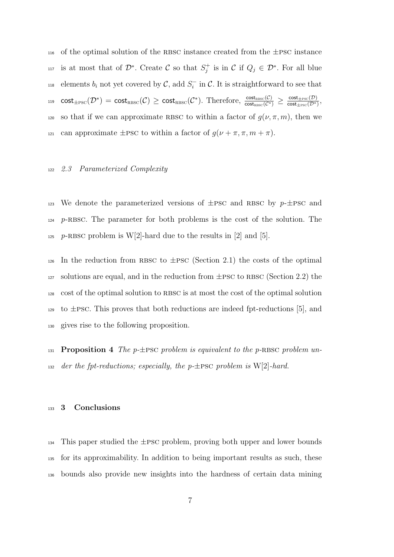$_{116}$  of the optimal solution of the RBSC instance created from the  $\pm$ PSC instance <sup>117</sup> is at most that of  $\mathcal{D}^*$ . Create  $\mathcal C$  so that  $S_j^+$  is in  $\mathcal C$  if  $Q_j \in \mathcal{D}^*$ . For all blue <sup>118</sup> elements  $b_i$  not yet covered by  $\mathcal{C}$ , add  $S_i^-$  in  $\mathcal{C}$ . It is straightforward to see that  $\mathsf{cost}_{\mathsf{t}\text{-}\mathsf{p}\text{-}\mathsf{c}\mathsf{c}}(\mathcal{D}^*)=\mathsf{cost}_{\mathsf{R}\text{-}\mathsf{B}\text{-}\mathsf{c}}(\mathcal{C})\geq \mathsf{cost}_{\mathsf{R}\text{-}\mathsf{B}\text{-}\mathsf{c}}(\mathcal{C}^*). \text{ Therefore, } \frac{\mathsf{cost}_{\mathsf{R}\text{-}\mathsf{B}\text{-}\mathsf{c}}(\mathcal{C})}{\mathsf{cost}_{\mathsf{t}\text{-}\mathsf{P}\text{-}\mathsf{c}}(\mathcal{D}^*)}\geq \frac{\mathsf{cost}_{\mathsf{t}\text{-}\mathsf{P}\text$  $\text{cost}_{\text{TPSC}}(\mathcal{D}^*) = \text{cost}_{\text{RBSC}}(\mathcal{C}) \geq \text{cost}_{\text{RBSC}}(\mathcal{C}^*). \text{ Therefore, } \frac{\text{cost}_{\text{RBSC}}(\mathcal{C})}{\text{cost}_{\text{RBSC}}(\mathcal{C}^*)} \geq \frac{\text{cost}_{\text{TPSC}}(\mathcal{D})}{\text{cost}_{\text{TPSC}}(\mathcal{D}^*)},$ 120 so that if we can approximate RBSC to within a factor of  $g(\nu, \pi, m)$ , then we 121 can approximate  $\pm$ PSC to within a factor of  $g(\nu + \pi, \pi, m + \pi)$ .

### <sup>122</sup> 2.3 Parameterized Complexity

<sup>123</sup> We denote the parameterized versions of  $\pm$ PSC and RBSC by p- $\pm$ PSC and  $124$  p-RBSC. The parameter for both problems is the cost of the solution. The 125 p-RBSC problem is W[2]-hard due to the results in [2] and [5].

 $_{126}$  In the reduction from RBSC to  $\pm$ PSC (Section 2.1) the costs of the optimal 127 solutions are equal, and in the reduction from  $\pm$ PSC to RBSC (Section 2.2) the <sup>128</sup> cost of the optimal solution to rbsc is at most the cost of the optimal solution  $129$  to  $\pm$ PSC. This proves that both reductions are indeed fpt-reductions [5], and <sup>130</sup> gives rise to the following proposition.

131 **Proposition 4** The p $\pm$ PSC problem is equivalent to the p $\pm$ PSSC problem un-132 der the fpt-reductions; especially, the p- $\pm$ PSC problem is W[2]-hard.

## <sup>133</sup> 3 Conclusions

 $134$  This paper studied the  $\pm$ PSC problem, proving both upper and lower bounds <sup>135</sup> for its approximability. In addition to being important results as such, these <sup>136</sup> bounds also provide new insights into the hardness of certain data mining